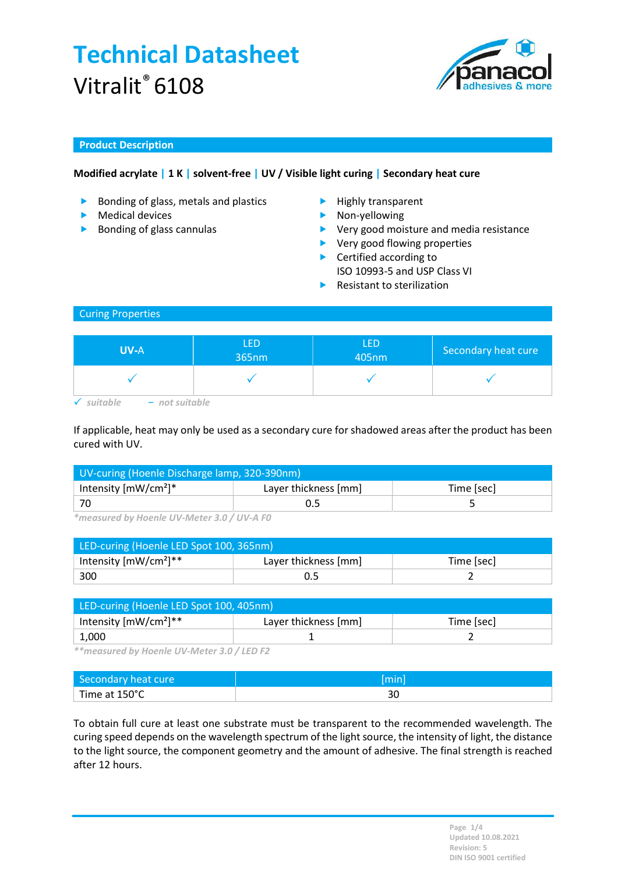

### Product Description

### Modified acrylate | 1 K | solvent-free | UV / Visible light curing | Secondary heat cure

- Bonding of glass, metals and plastics Highly transparent
- $\blacktriangleright$  Medical devices
- $\triangleright$  Bonding of glass cannulas
- 
- **Non-yellowing**
- ▶ Very good moisture and media resistance
- ▶ Very good flowing properties
- ▶ Certified according to
- ISO 10993-5 and USP Class VI
- Resistant to sterilization

#### Curing Properties

| <b>UV-A</b> | <b>LED</b><br>365nm | <b>LED</b><br>405nm | Secondary heat cure |
|-------------|---------------------|---------------------|---------------------|
|             |                     |                     |                     |
| itable      |                     |                     |                     |

If applicable, heat may only be used as a secondary cure for shadowed areas after the product has been cured with UV.

| UV-curing (Hoenle Discharge lamp, 320-390nm) |                      |            |  |
|----------------------------------------------|----------------------|------------|--|
| Intensity $[mW/cm^2]^*$                      | Layer thickness [mm] | Time [sec] |  |
| ' 70                                         |                      |            |  |

\*measured by Hoenle UV-Meter 3.0 / UV-A F0

| LED-curing (Hoenle LED Spot 100, 365nm) |                      |            |  |
|-----------------------------------------|----------------------|------------|--|
| Intensity $[mW/cm^2]^{**}$              | Layer thickness [mm] | Time [sec] |  |
| 300                                     |                      |            |  |

| LED-curing (Hoenle LED Spot 100, 405nm) |                      |            |  |
|-----------------------------------------|----------------------|------------|--|
| Intensity $[mW/cm^2]^{**}$              | Layer thickness [mm] | Time [sec] |  |
| 1,000                                   |                      |            |  |

\*\*measured by Hoenle UV-Meter 3.0 / LED F2

| Secondary heat cure |     |
|---------------------|-----|
| Time at 150°C       | یاد |

To obtain full cure at least one substrate must be transparent to the recommended wavelength. The curing speed depends on the wavelength spectrum of the light source, the intensity of light, the distance to the light source, the component geometry and the amount of adhesive. The final strength is reached after 12 hours.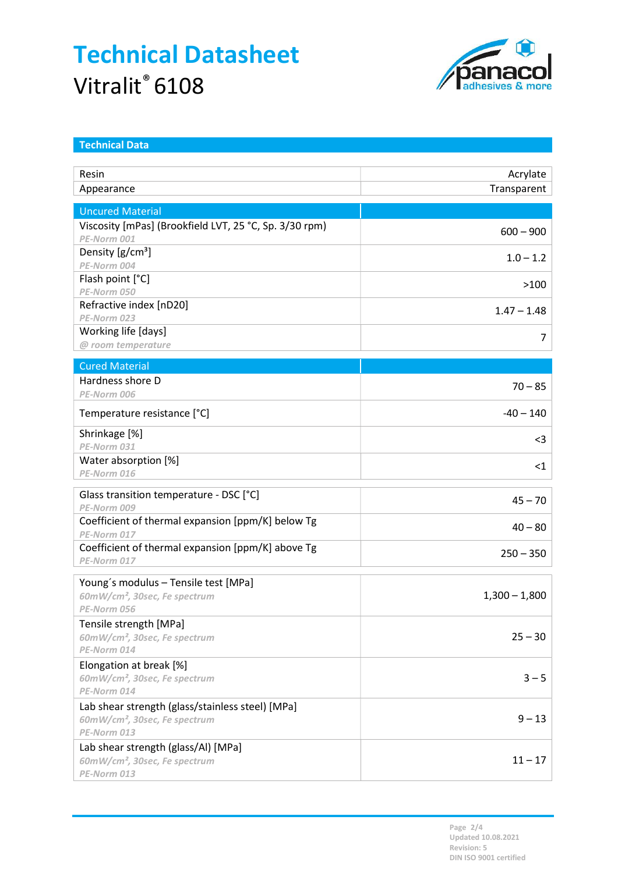

| <b>Technical Data</b>                                                 |                 |
|-----------------------------------------------------------------------|-----------------|
| Resin                                                                 | Acrylate        |
| Appearance                                                            | Transparent     |
|                                                                       |                 |
| <b>Uncured Material</b>                                               |                 |
| Viscosity [mPas] (Brookfield LVT, 25 °C, Sp. 3/30 rpm)<br>PE-Norm 001 | $600 - 900$     |
| Density [g/cm <sup>3</sup> ]                                          |                 |
| PE-Norm 004                                                           | $1.0 - 1.2$     |
| Flash point [°C]                                                      | >100            |
| PE-Norm 050                                                           |                 |
| Refractive index [nD20]<br>PE-Norm 023                                | $1.47 - 1.48$   |
| Working life [days]                                                   |                 |
| @ room temperature                                                    | 7               |
|                                                                       |                 |
| <b>Cured Material</b><br>Hardness shore D                             |                 |
| PE-Norm 006                                                           | $70 - 85$       |
|                                                                       |                 |
| Temperature resistance [°C]                                           | $-40 - 140$     |
| Shrinkage [%]                                                         | $3$             |
| PE-Norm 031                                                           |                 |
| Water absorption [%]<br>PE-Norm 016                                   | $<$ 1           |
|                                                                       |                 |
| Glass transition temperature - DSC [°C]                               | $45 - 70$       |
| PE-Norm 009<br>Coefficient of thermal expansion [ppm/K] below Tg      |                 |
| PE-Norm 017                                                           | $40 - 80$       |
| Coefficient of thermal expansion [ppm/K] above Tg                     |                 |
| PE-Norm 017                                                           | $250 - 350$     |
| Young's modulus - Tensile test [MPa]                                  |                 |
| 60mW/cm <sup>2</sup> , 30sec, Fe spectrum                             | $1,300 - 1,800$ |
| PE-Norm 056                                                           |                 |
| Tensile strength [MPa]                                                |                 |
| 60mW/cm <sup>2</sup> , 30sec, Fe spectrum                             | $25 - 30$       |
| PE-Norm 014                                                           |                 |
| Elongation at break [%]                                               |                 |
| 60mW/cm <sup>2</sup> , 30sec, Fe spectrum<br>PE-Norm 014              | $3 - 5$         |
| Lab shear strength (glass/stainless steel) [MPa]                      |                 |
| 60mW/cm <sup>2</sup> , 30sec, Fe spectrum                             | $9 - 13$        |
| PE-Norm 013                                                           |                 |
| Lab shear strength (glass/Al) [MPa]                                   |                 |
| 60mW/cm <sup>2</sup> , 30sec, Fe spectrum                             | $11 - 17$       |
| PE-Norm 013                                                           |                 |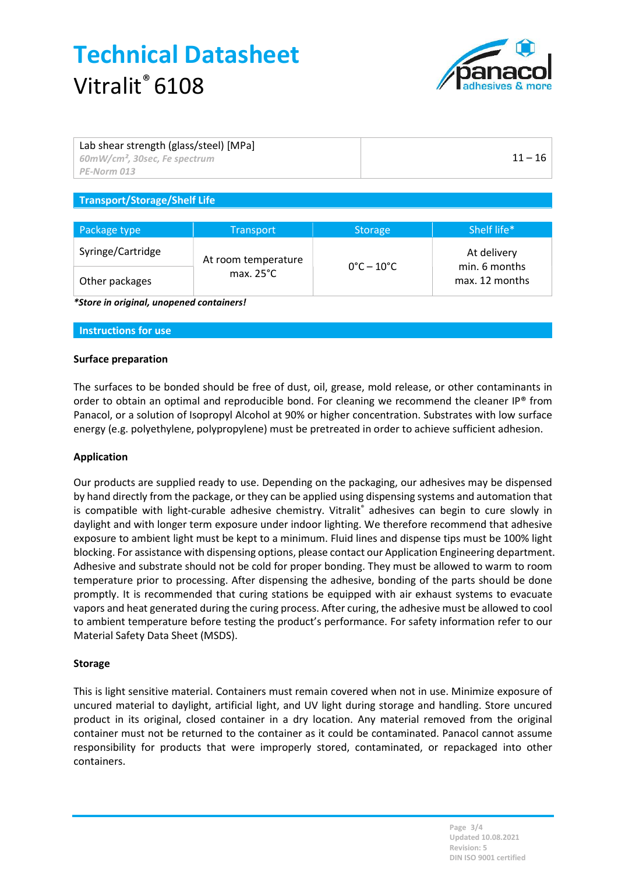

| Lab shear strength (glass/steel) [MPa]<br>$\frac{1}{2}$ 60mW/cm <sup>2</sup> , 30sec, Fe spectrum<br>PE-Norm 013 | $11 - 16$ |
|------------------------------------------------------------------------------------------------------------------|-----------|
|                                                                                                                  |           |
| $\tau$ . The state of $\tau$ is the state of $\tau$ is the state of $\tau$                                       |           |

#### Transport/Storage/Shelf Life

| Package type      | <b>Transport</b>                           | <b>Storage</b>                  | Shelf life*                  |
|-------------------|--------------------------------------------|---------------------------------|------------------------------|
| Syringe/Cartridge | At room temperature<br>max. $25^{\circ}$ C | $0^{\circ}$ C – 10 $^{\circ}$ C | At delivery<br>min. 6 months |
| Other packages    |                                            |                                 | max. 12 months               |

\*Store in original, unopened containers!

#### Instructions for use

#### Surface preparation

The surfaces to be bonded should be free of dust, oil, grease, mold release, or other contaminants in order to obtain an optimal and reproducible bond. For cleaning we recommend the cleaner IP® from Panacol, or a solution of Isopropyl Alcohol at 90% or higher concentration. Substrates with low surface energy (e.g. polyethylene, polypropylene) must be pretreated in order to achieve sufficient adhesion.

#### Application

Our products are supplied ready to use. Depending on the packaging, our adhesives may be dispensed by hand directly from the package, or they can be applied using dispensing systems and automation that is compatible with light-curable adhesive chemistry. Vitralit® adhesives can begin to cure slowly in daylight and with longer term exposure under indoor lighting. We therefore recommend that adhesive exposure to ambient light must be kept to a minimum. Fluid lines and dispense tips must be 100% light blocking. For assistance with dispensing options, please contact our Application Engineering department. Adhesive and substrate should not be cold for proper bonding. They must be allowed to warm to room temperature prior to processing. After dispensing the adhesive, bonding of the parts should be done promptly. It is recommended that curing stations be equipped with air exhaust systems to evacuate vapors and heat generated during the curing process. After curing, the adhesive must be allowed to cool to ambient temperature before testing the product's performance. For safety information refer to our Material Safety Data Sheet (MSDS).

#### Storage

This is light sensitive material. Containers must remain covered when not in use. Minimize exposure of uncured material to daylight, artificial light, and UV light during storage and handling. Store uncured product in its original, closed container in a dry location. Any material removed from the original container must not be returned to the container as it could be contaminated. Panacol cannot assume responsibility for products that were improperly stored, contaminated, or repackaged into other containers.